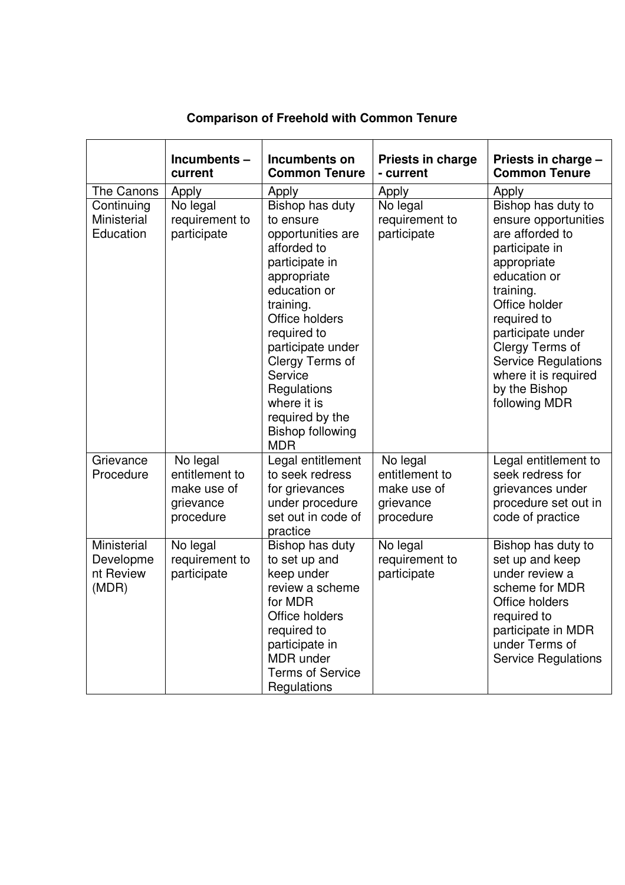|                                                | Incumbents-<br>current                                              | Incumbents on<br><b>Common Tenure</b>                                                                                                                                                                                                                                                                        | Priests in charge<br>- current                                      | Priests in charge -<br><b>Common Tenure</b>                                                                                                                                                                                                                                                 |
|------------------------------------------------|---------------------------------------------------------------------|--------------------------------------------------------------------------------------------------------------------------------------------------------------------------------------------------------------------------------------------------------------------------------------------------------------|---------------------------------------------------------------------|---------------------------------------------------------------------------------------------------------------------------------------------------------------------------------------------------------------------------------------------------------------------------------------------|
| The Canons                                     | Apply                                                               | Apply                                                                                                                                                                                                                                                                                                        | Apply                                                               | Apply                                                                                                                                                                                                                                                                                       |
| Continuing<br>Ministerial<br>Education         | No legal<br>requirement to<br>participate                           | Bishop has duty<br>to ensure<br>opportunities are<br>afforded to<br>participate in<br>appropriate<br>education or<br>training.<br>Office holders<br>required to<br>participate under<br>Clergy Terms of<br>Service<br>Regulations<br>where it is<br>required by the<br><b>Bishop following</b><br><b>MDR</b> | No legal<br>requirement to<br>participate                           | Bishop has duty to<br>ensure opportunities<br>are afforded to<br>participate in<br>appropriate<br>education or<br>training.<br>Office holder<br>required to<br>participate under<br>Clergy Terms of<br><b>Service Regulations</b><br>where it is required<br>by the Bishop<br>following MDR |
| Grievance<br>Procedure                         | No legal<br>entitlement to<br>make use of<br>grievance<br>procedure | Legal entitlement<br>to seek redress<br>for grievances<br>under procedure<br>set out in code of<br>practice                                                                                                                                                                                                  | No legal<br>entitlement to<br>make use of<br>grievance<br>procedure | Legal entitlement to<br>seek redress for<br>grievances under<br>procedure set out in<br>code of practice                                                                                                                                                                                    |
| Ministerial<br>Developme<br>nt Review<br>(MDR) | No legal<br>requirement to<br>participate                           | Bishop has duty<br>to set up and<br>keep under<br>review a scheme<br>for MDR<br>Office holders<br>required to<br>participate in<br><b>MDR</b> under<br><b>Terms of Service</b><br>Regulations                                                                                                                | No legal<br>requirement to<br>participate                           | Bishop has duty to<br>set up and keep<br>under review a<br>scheme for MDR<br>Office holders<br>required to<br>participate in MDR<br>under Terms of<br><b>Service Regulations</b>                                                                                                            |

## **Comparison of Freehold with Common Tenure**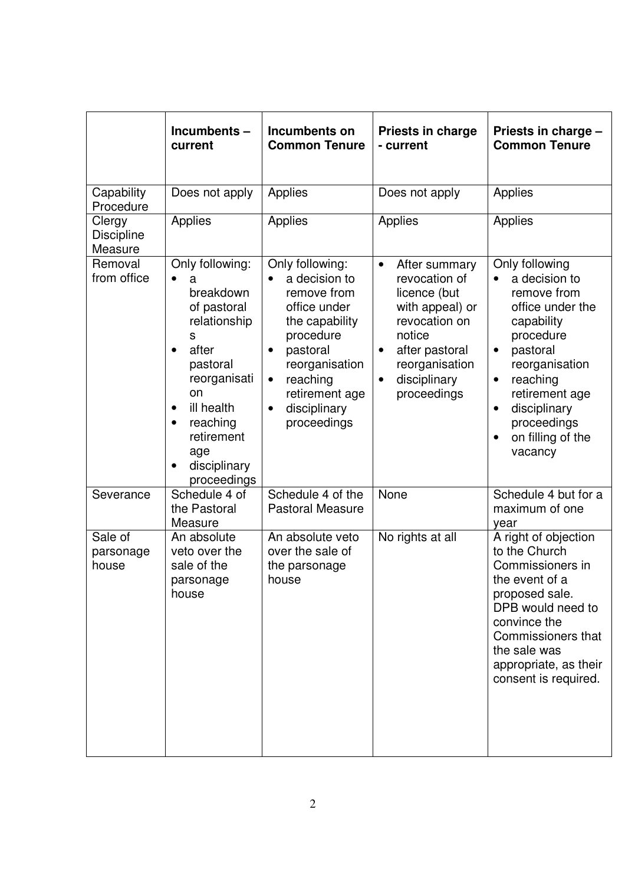|                                        | Incumbents-<br>current                                                                                                                                                                                                                                          | Incumbents on<br><b>Common Tenure</b>                                                                                                                                                                                            | <b>Priests in charge</b><br>- current                                                                                                                                                                  | Priests in charge -<br><b>Common Tenure</b>                                                                                                                                                                                                                     |
|----------------------------------------|-----------------------------------------------------------------------------------------------------------------------------------------------------------------------------------------------------------------------------------------------------------------|----------------------------------------------------------------------------------------------------------------------------------------------------------------------------------------------------------------------------------|--------------------------------------------------------------------------------------------------------------------------------------------------------------------------------------------------------|-----------------------------------------------------------------------------------------------------------------------------------------------------------------------------------------------------------------------------------------------------------------|
| Capability<br>Procedure                | Does not apply                                                                                                                                                                                                                                                  | Applies                                                                                                                                                                                                                          | Does not apply                                                                                                                                                                                         | Applies                                                                                                                                                                                                                                                         |
| Clergy<br><b>Discipline</b><br>Measure | Applies                                                                                                                                                                                                                                                         | Applies                                                                                                                                                                                                                          | <b>Applies</b>                                                                                                                                                                                         | Applies                                                                                                                                                                                                                                                         |
| Removal<br>from office                 | Only following:<br>$\bullet$<br>a<br>breakdown<br>of pastoral<br>relationship<br>S<br>after<br>$\bullet$<br>pastoral<br>reorganisati<br>on<br>ill health<br>$\bullet$<br>reaching<br>$\bullet$<br>retirement<br>age<br>disciplinary<br>$\bullet$<br>proceedings | Only following:<br>a decision to<br>remove from<br>office under<br>the capability<br>procedure<br>pastoral<br>$\bullet$<br>reorganisation<br>reaching<br>$\bullet$<br>retirement age<br>disciplinary<br>$\bullet$<br>proceedings | After summary<br>$\bullet$<br>revocation of<br>licence (but<br>with appeal) or<br>revocation on<br>notice<br>after pastoral<br>$\bullet$<br>reorganisation<br>disciplinary<br>$\bullet$<br>proceedings | Only following<br>a decision to<br>remove from<br>office under the<br>capability<br>procedure<br>pastoral<br>$\bullet$<br>reorganisation<br>reaching<br>$\bullet$<br>retirement age<br>disciplinary<br>$\bullet$<br>proceedings<br>on filling of the<br>vacancy |
| Severance                              | Schedule 4 of<br>the Pastoral<br>Measure                                                                                                                                                                                                                        | Schedule 4 of the<br><b>Pastoral Measure</b>                                                                                                                                                                                     | None                                                                                                                                                                                                   | Schedule 4 but for a<br>maximum of one<br>year                                                                                                                                                                                                                  |
| Sale of<br>parsonage<br>house          | An absolute<br>veto over the<br>sale of the<br>parsonage<br>house                                                                                                                                                                                               | An absolute veto<br>over the sale of<br>the parsonage<br>house                                                                                                                                                                   | No rights at all                                                                                                                                                                                       | A right of objection<br>to the Church<br>Commissioners in<br>the event of a<br>proposed sale.<br>DPB would need to<br>convince the<br>Commissioners that<br>the sale was<br>appropriate, as their<br>consent is required.                                       |